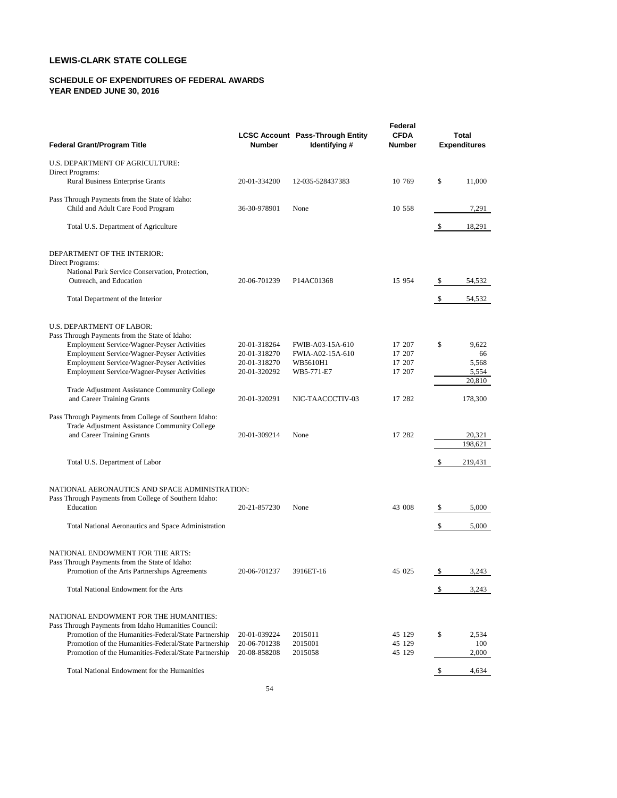# **LEWIS-CLARK STATE COLLEGE**

### **SCHEDULE OF EXPENDITURES OF FEDERAL AWARDS YEAR ENDED JUNE 30, 2016**

| <b>Federal Grant/Program Title</b>                                                                             | Number                       | <b>LCSC Account Pass-Through Entity</b><br>Identifying # | Federal<br><b>CFDA</b><br>Number | Total<br><b>Expenditures</b> |              |  |  |  |  |
|----------------------------------------------------------------------------------------------------------------|------------------------------|----------------------------------------------------------|----------------------------------|------------------------------|--------------|--|--|--|--|
| U.S. DEPARTMENT OF AGRICULTURE:                                                                                |                              |                                                          |                                  |                              |              |  |  |  |  |
| Direct Programs:<br><b>Rural Business Enterprise Grants</b>                                                    | 20-01-334200                 | 12-035-528437383                                         | 10 769                           | \$                           | 11,000       |  |  |  |  |
| Pass Through Payments from the State of Idaho:<br>Child and Adult Care Food Program                            | 36-30-978901                 | None                                                     | 10 558                           |                              | 7,291        |  |  |  |  |
|                                                                                                                |                              |                                                          |                                  |                              |              |  |  |  |  |
| Total U.S. Department of Agriculture                                                                           |                              |                                                          |                                  | \$                           | 18,291       |  |  |  |  |
| DEPARTMENT OF THE INTERIOR:                                                                                    |                              |                                                          |                                  |                              |              |  |  |  |  |
| Direct Programs:<br>National Park Service Conservation, Protection,                                            |                              |                                                          |                                  |                              |              |  |  |  |  |
| Outreach, and Education                                                                                        | 20-06-701239                 | P14AC01368                                               | 15 954                           | \$                           | 54,532       |  |  |  |  |
| Total Department of the Interior                                                                               |                              |                                                          |                                  | \$                           | 54,532       |  |  |  |  |
| U.S. DEPARTMENT OF LABOR:                                                                                      |                              |                                                          |                                  |                              |              |  |  |  |  |
| Pass Through Payments from the State of Idaho:                                                                 |                              |                                                          |                                  |                              |              |  |  |  |  |
| <b>Employment Service/Wagner-Peyser Activities</b>                                                             | 20-01-318264                 | FWIB-A03-15A-610                                         | 17 207                           | \$                           | 9,622        |  |  |  |  |
| Employment Service/Wagner-Peyser Activities<br>Employment Service/Wagner-Peyser Activities                     | 20-01-318270                 | FWIA-A02-15A-610                                         | 17 207<br>17 207                 |                              | 66<br>5,568  |  |  |  |  |
| Employment Service/Wagner-Peyser Activities                                                                    | 20-01-318270<br>20-01-320292 | WB5610H1<br>WB5-771-E7                                   | 17 207                           |                              | 5,554        |  |  |  |  |
|                                                                                                                |                              |                                                          |                                  |                              | 20,810       |  |  |  |  |
| Trade Adjustment Assistance Community College<br>and Career Training Grants                                    | 20-01-320291                 | NIC-TAACCCTIV-03                                         | 17 282                           |                              | 178,300      |  |  |  |  |
|                                                                                                                |                              |                                                          |                                  |                              |              |  |  |  |  |
| Pass Through Payments from College of Southern Idaho:                                                          |                              |                                                          |                                  |                              |              |  |  |  |  |
| Trade Adjustment Assistance Community College<br>and Career Training Grants                                    | 20-01-309214                 | None                                                     | 17 282                           |                              | 20,321       |  |  |  |  |
|                                                                                                                |                              |                                                          |                                  |                              | 198,621      |  |  |  |  |
|                                                                                                                |                              |                                                          |                                  |                              |              |  |  |  |  |
| Total U.S. Department of Labor                                                                                 |                              |                                                          |                                  | \$                           | 219,431      |  |  |  |  |
| NATIONAL AERONAUTICS AND SPACE ADMINISTRATION:                                                                 |                              |                                                          |                                  |                              |              |  |  |  |  |
| Pass Through Payments from College of Southern Idaho:<br>Education                                             | 20-21-857230                 | None                                                     | 43 008                           | \$                           | 5,000        |  |  |  |  |
|                                                                                                                |                              |                                                          |                                  |                              |              |  |  |  |  |
| Total National Aeronautics and Space Administration                                                            |                              |                                                          |                                  | \$                           | 5,000        |  |  |  |  |
| NATIONAL ENDOWMENT FOR THE ARTS:                                                                               |                              |                                                          |                                  |                              |              |  |  |  |  |
| Pass Through Payments from the State of Idaho:                                                                 |                              |                                                          |                                  |                              |              |  |  |  |  |
| Promotion of the Arts Partnerships Agreements                                                                  | 20-06-701237                 | 3916ET-16                                                | 45 025                           | \$                           | 3,243        |  |  |  |  |
| Total National Endowment for the Arts                                                                          |                              |                                                          |                                  | \$                           | 3,243        |  |  |  |  |
| NATIONAL ENDOWMENT FOR THE HUMANITIES:                                                                         |                              |                                                          |                                  |                              |              |  |  |  |  |
| Pass Through Payments from Idaho Humanities Council:                                                           |                              |                                                          |                                  |                              |              |  |  |  |  |
| Promotion of the Humanities-Federal/State Partnership                                                          | 20-01-039224                 | 2015011                                                  | 45 129                           | \$                           | 2,534        |  |  |  |  |
| Promotion of the Humanities-Federal/State Partnership<br>Promotion of the Humanities-Federal/State Partnership | 20-06-701238<br>20-08-858208 | 2015001<br>2015058                                       | 45 129<br>45 129                 |                              | 100<br>2,000 |  |  |  |  |
|                                                                                                                |                              |                                                          |                                  |                              |              |  |  |  |  |
| Total National Endowment for the Humanities                                                                    |                              |                                                          |                                  | \$                           | 4,634        |  |  |  |  |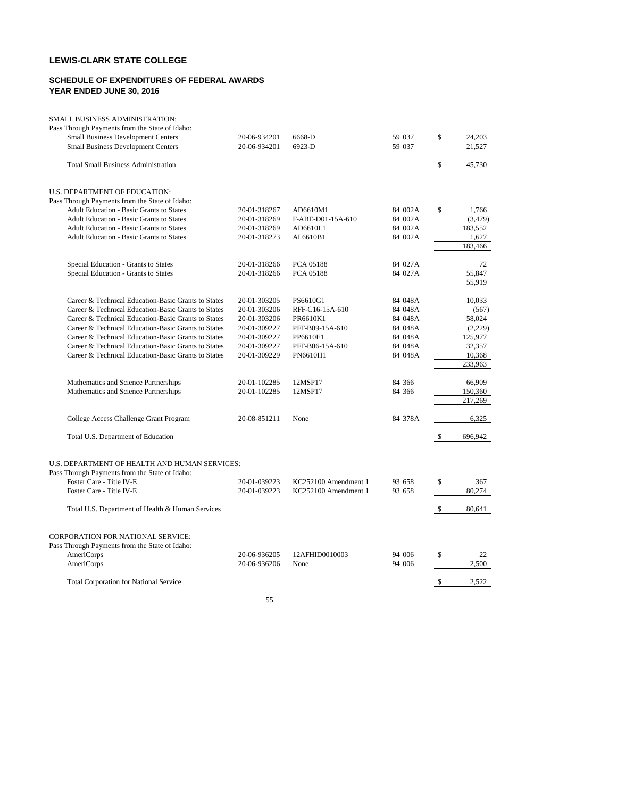## **LEWIS-CLARK STATE COLLEGE**

### **SCHEDULE OF EXPENDITURES OF FEDERAL AWARDS YEAR ENDED JUNE 30, 2016**

| SMALL BUSINESS ADMINISTRATION:                                                                                                                                          |                              |                                              |                  |          |                      |
|-------------------------------------------------------------------------------------------------------------------------------------------------------------------------|------------------------------|----------------------------------------------|------------------|----------|----------------------|
| Pass Through Payments from the State of Idaho:<br><b>Small Business Development Centers</b><br><b>Small Business Development Centers</b>                                | 20-06-934201<br>20-06-934201 | 6668-D<br>6923-D                             | 59 037<br>59 037 | \$       | 24,203<br>21,527     |
|                                                                                                                                                                         |                              |                                              |                  |          |                      |
| <b>Total Small Business Administration</b>                                                                                                                              |                              |                                              |                  | \$       | 45,730               |
| U.S. DEPARTMENT OF EDUCATION:                                                                                                                                           |                              |                                              |                  |          |                      |
| Pass Through Payments from the State of Idaho:                                                                                                                          |                              |                                              |                  |          |                      |
| <b>Adult Education - Basic Grants to States</b>                                                                                                                         | 20-01-318267                 | AD6610M1                                     | 84 002A          | \$       | 1,766                |
| Adult Education - Basic Grants to States                                                                                                                                | 20-01-318269                 | F-ABE-D01-15A-610                            | 84 002A          |          | (3, 479)             |
| Adult Education - Basic Grants to States                                                                                                                                | 20-01-318269                 | AD6610L1                                     | 84 002A          |          | 183,552              |
| <b>Adult Education - Basic Grants to States</b>                                                                                                                         | 20-01-318273                 | AL6610B1                                     | 84 002A          |          | 1,627                |
|                                                                                                                                                                         |                              |                                              |                  |          | 183,466              |
| Special Education - Grants to States                                                                                                                                    | 20-01-318266                 | PCA 05188                                    | 84 027A          |          | 72                   |
| Special Education - Grants to States                                                                                                                                    | 20-01-318266                 | PCA 05188                                    | 84 027A          |          | 55,847               |
|                                                                                                                                                                         |                              |                                              |                  |          | 55,919               |
| Career & Technical Education-Basic Grants to States                                                                                                                     | 20-01-303205                 | PS6610G1                                     | 84 048A          |          | 10,033               |
| Career & Technical Education-Basic Grants to States                                                                                                                     | 20-01-303206                 | RFF-C16-15A-610                              | 84 048A          |          | (567)                |
| Career & Technical Education-Basic Grants to States                                                                                                                     | 20-01-303206                 | PR6610K1                                     | 84 048A          |          | 58,024               |
| Career & Technical Education-Basic Grants to States                                                                                                                     | 20-01-309227                 | PFF-B09-15A-610                              | 84 048A          |          | (2,229)              |
| Career & Technical Education-Basic Grants to States                                                                                                                     | 20-01-309227                 | PP6610E1                                     | 84 048A          |          | 125,977              |
| Career & Technical Education-Basic Grants to States                                                                                                                     | 20-01-309227                 | PFF-B06-15A-610                              | 84 048A          |          | 32,357               |
| Career & Technical Education-Basic Grants to States                                                                                                                     | 20-01-309229                 | PN6610H1                                     | 84 048A          |          | 10,368               |
|                                                                                                                                                                         |                              |                                              |                  |          | 233,963              |
| Mathematics and Science Partnerships                                                                                                                                    | 20-01-102285                 | 12MSP17                                      | 84 366           |          | 66,909               |
| Mathematics and Science Partnerships                                                                                                                                    | 20-01-102285                 | 12MSP17                                      | 84 366           |          | 150,360              |
|                                                                                                                                                                         |                              |                                              |                  |          | 217,269              |
| College Access Challenge Grant Program                                                                                                                                  | 20-08-851211                 | None                                         | 84 378A          |          | 6,325                |
| Total U.S. Department of Education                                                                                                                                      |                              |                                              |                  | \$       | 696,942              |
| U.S. DEPARTMENT OF HEALTH AND HUMAN SERVICES:<br>Pass Through Payments from the State of Idaho:<br>Foster Care - Title IV-E<br>Foster Care - Title IV-E                 | 20-01-039223<br>20-01-039223 | KC252100 Amendment 1<br>KC252100 Amendment 1 | 93 658<br>93 658 | \$       | 367<br>80,274        |
| Total U.S. Department of Health & Human Services                                                                                                                        |                              |                                              |                  | \$       | 80,641               |
| <b>CORPORATION FOR NATIONAL SERVICE:</b><br>Pass Through Payments from the State of Idaho:<br>AmeriCorps<br>AmeriCorps<br><b>Total Corporation for National Service</b> | 20-06-936205<br>20-06-936206 | 12AFHID0010003<br>None                       | 94 006<br>94 006 | \$<br>\$ | 22<br>2,500<br>2,522 |
|                                                                                                                                                                         |                              |                                              |                  |          |                      |

55